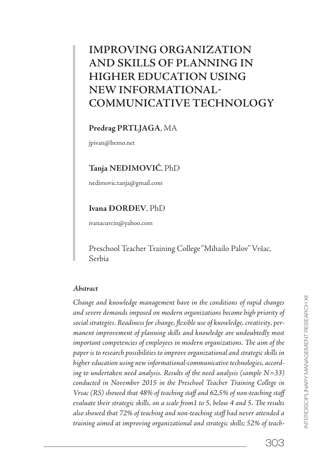# **IMPROVING ORGANIZATION AND SKILLS OF PLANNING IN HIGHER EDUCATION USING NEW INFORMATIONAL COMMUNICATIVE TECHNOLOGY**

## **Predrag PRTLJAGA**, MA

jpivan@hemo.net

## **Tanja NEDIMOVIĆ**, PhD

nedimovic.tanja@gmail.com

## **Ivana ĐORĐEV**, PhD

ivanacurcin@yahoo.com

Preschool Teacher Training College "Mihailo Palov" Vršac, Serbia

### **Abstract**

Change and knowledge management have in the conditions of rapid changes and severe demands imposed on modern organizations become high priority of social strategies. Readiness for change, flexible use of knowledge, creativity, permanent improvement of planning skills and knowledge are undoubtedly most important competencies of employees in modern organizations. The aim of the paper is to research possibilities to improve organizational and strategic skills in higher education using new informational-communicative technologies, according to undertaken need analysis. Results of the need analysis (sample  $N=33$ ) conducted in November 2015 in the Preschool Teacher Training College in Vrsac (RS) showed that 48% of teaching staff and 62,5% of non-teaching staff evaluate their strategic skills, on a scale from1 to 5, below 4 and 5. The results also showed that 72% of teaching and non-teaching staff had never attended a training aimed at improving organizational and strategic skills; 52% of teach-

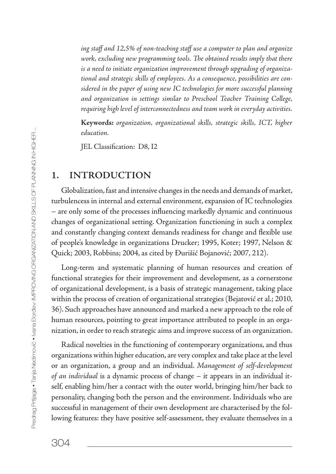ing staff and 12,5% of non-teaching staff use a computer to plan and organize work, excluding new programming tools. The obtained results imply that there is a need to initiate organization improvement through upgrading of organizational and strategic skills of employees. As a consequence, possibilities are considered in the paper of using new IC technologies for more successful planning and organization in settings similar to Preschool Teacher Training College, requiring high level of interconnectedness and team work in everyday activities.

**Keywords:** organization, organizational skills, strategic skills, ICT, higher education.

JEL Classification: D8, I2

## **1. INTRODUCTION**

Globalization, fast and intensive changes in the needs and demands of market, turbulencess in internal and external environment, expansion of IC technologies – are only some of the processes influencing markedly dynamic and continuous changes of organizational setting. Organization functioning in such a complex and constantly changing context demands readiness for change and flexible use of people's knowledge in organizations Drucker; 1995, Koter; 1997, Nelson & Quick; 2003, Robbins; 2004, as cited by Đurišić Bojanović; 2007, 212).

Long-term and systematic planning of human resources and creation of functional strategies for their improvement and development, as a cornerstone of organizational development, is a basis of strategic management, taking place within the process of creation of organizational strategies (Bejatović et al.; 2010, 36). Such approaches have announced and marked a new approach to the role of human resources, pointing to great importance attributed to people in an organization, in order to reach strategic aims and improve success of an organization.

Radical novelties in the functioning of contemporary organizations, and thus organizations within higher education, are very complex and take place at the level or an organization, a group and an individual. Management of self-development of an individual is a dynamic process of change – it appears in an individual itself, enabling him/her a contact with the outer world, bringing him/her back to personality, changing both the person and the environment. Individuals who are successful in management of their own development are characterised by the following features: they have positive self-assessment, they evaluate themselves in a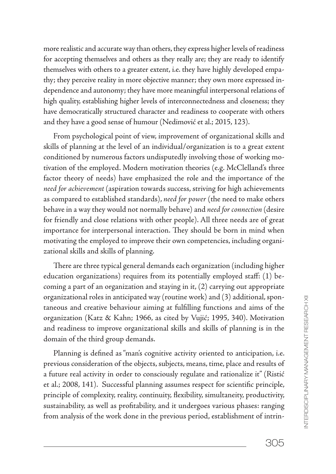more realistic and accurate way than others, they express higher levels of readiness for accepting themselves and others as they really are; they are ready to identify themselves with others to a greater extent, i.e. they have highly developed empathy; they perceive reality in more objective manner; they own more expressed independence and autonomy; they have more meaningful interpersonal relations of high quality, establishing higher levels of interconnectedness and closeness; they have democratically structured character and readiness to cooperate with others and they have a good sense of humour (Nedimović et al.; 2015, 123).

From psychological point of view, improvement of organizational skills and skills of planning at the level of an individual/organization is to a great extent conditioned by numerous factors undisputedly involving those of working motivation of the employed. Modern motivation theories (e.g. McClelland's three factor theory of needs) have emphasized the role and the importance of the need for achievement (aspiration towards success, striving for high achievements as compared to established standards), need for power (the need to make others behave in a way they would not normally behave) and need for connection (desire for friendly and close relations with other people). All three needs are of great importance for interpersonal interaction. They should be born in mind when motivating the employed to improve their own competencies, including organizational skills and skills of planning.

There are three typical general demands each organization (including higher education organizations) requires from its potentially employed staff:  $(1)$  becoming a part of an organization and staying in it, (2) carrying out appropriate organizational roles in anticipated way (routine work) and (3) additional, spontaneous and creative behaviour aiming at fulfilling functions and aims of the organization (Katz & Kahn; 1966, as cited by Vujić; 1995, 340). Motivation and readiness to improve organizational skills and skills of planning is in the domain of the third group demands.

Planning is defined as "man's cognitive activity oriented to anticipation, i.e. previous consideration of the objects, subjects, means, time, place and results of a future real activity in order to consciously regulate and rationalize it" (Ristić et al.; 2008, 141). Successful planning assumes respect for scientific principle, principle of complexity, reality, continuity, flexibility, simultaneity, productivity, sustainability, as well as profitability, and it undergoes various phases: ranging from analysis of the work done in the previous period, establishment of intrin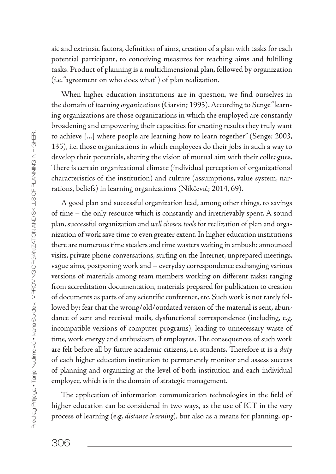sic and extrinsic factors, definition of aims, creation of a plan with tasks for each potential participant, to conceiving measures for reaching aims and fulfilling tasks. Product of planning is a multidimensional plan, followed by organization (i.e. "agreement on who does what") of plan realization.

When higher education institutions are in question, we find ourselves in the domain of learning organizations (Garvin; 1993). According to Senge "learning organizations are those organizations in which the employed are constantly broadening and empowering their capacities for creating results they truly want to achieve [...] where people are learning how to learn together" (Senge; 2003, 135), i.e. those organizations in which employees do their jobs in such a way to develop their potentials, sharing the vision of mutual aim with their colleagues. There is certain organizational climate (individual perception of organizational characteristics of the institution) and culture (assumptions, value system, narrations, beliefs) in learning organizations (Nikčevič; 2014, 69).

A good plan and successful organization lead, among other things, to savings of time – the only resource which is constantly and irretrievably spent. A sound plan, successful organization and well chosen tools for realization of plan and organization of work save time to even greater extent. In higher education institutions there are numerous time stealers and time wasters waiting in ambush: announced visits, private phone conversations, surfing on the Internet, unprepared meetings, vague aims, postponing work and – everyday correspondence exchanging various versions of materials among team members working on different tasks: ranging from accreditation documentation, materials prepared for publication to creation of documents as parts of any scientific conference, etc. Such work is not rarely followed by: fear that the wrong/old/outdated version of the material is sent, abundance of sent and received mails, dysfunctional correspondence (including, e.g. incompatible versions of computer programs), leading to unnecessary waste of time, work energy and enthusiasm of employees. The consequences of such work are felt before all by future academic citizens, i.e. students. Therefore it is a duty of each higher education institution to permanently monitor and assess success of planning and organizing at the level of both institution and each individual employee, which is in the domain of strategic management.

The application of information communication technologies in the field of higher education can be considered in two ways, as the use of ICT in the very process of learning (e.g. distance learning), but also as a means for planning, op-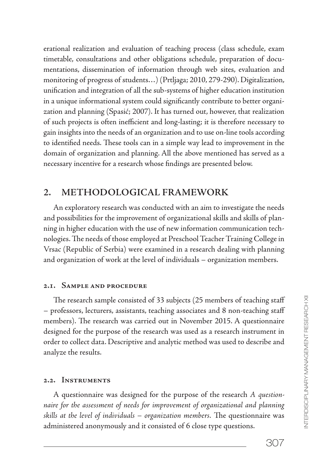erational realization and evaluation of teaching process (class schedule, exam timetable, consultations and other obligations schedule, preparation of documentations, dissemination of information through web sites, evaluation and monitoring of progress of students…) (Prtljaga; 2010, 279-290). Digitalization, unification and integration of all the sub-systems of higher education institution in a unique informational system could significantly contribute to better organization and planning (Spasić; 2007). It has turned out, however, that realization of such projects is often inefficient and long-lasting; it is therefore necessary to gain insights into the needs of an organization and to use on-line tools according to identified needs. These tools can in a simple way lead to improvement in the domain of organization and planning. All the above mentioned has served as a necessary incentive for a research whose findings are presented below.

## **2. METHODOLOGICAL FRAMEWORK**

An exploratory research was conducted with an aim to investigate the needs and possibilities for the improvement of organizational skills and skills of planning in higher education with the use of new information communication technologies. The needs of those employed at Preschool Teacher Training College in Vrsac (Republic of Serbia) were examined in a research dealing with planning and organization of work at the level of individuals – organization members.

### 2.1. SAMPLE AND PROCEDURE

The research sample consisted of 33 subjects (25 members of teaching staff – professors, lecturers, assistants, teaching associates and 8 non-teaching staff members). The research was carried out in November 2015. A questionnaire designed for the purpose of the research was used as a research instrument in order to collect data. Descriptive and analytic method was used to describe and analyze the results.

### 2.2. INSTRUMENTS

A questionnaire was designed for the purpose of the research A questionnaire for the assessment of needs for improvement of organizational and planning skills at the level of individuals  $-$  organization members. The questionnaire was administered anonymously and it consisted of 6 close type questions.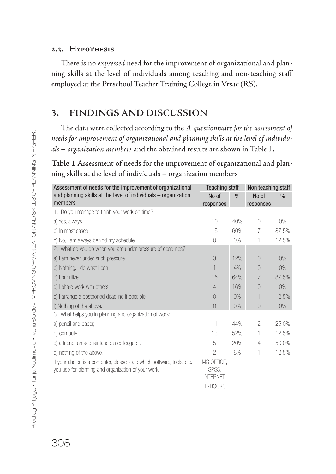## 2.3. HYPOTHESIS

There is no expressed need for the improvement of organizational and planning skills at the level of individuals among teaching and non-teaching staff employed at the Preschool Teacher Training College in Vrsac (RS).

## **3. FINDINGS AND DISCUSSION**

The data were collected according to the A questionnaire for the assessment of needs for improvement of organizational and planning skills at the level of individuals – organization members and the obtained results are shown in Table 1.

**Table 1** Assessment of needs for the improvement of organizational and planning skills at the level of individuals – organization members

| Assessment of needs for the improvement of organizational                                                                     | <b>Teaching staff</b>                              |               | Non teaching staff |               |
|-------------------------------------------------------------------------------------------------------------------------------|----------------------------------------------------|---------------|--------------------|---------------|
| and planning skills at the level of individuals - organization<br>members                                                     | No of<br>responses                                 | $\frac{0}{n}$ | No of<br>responses | $\frac{0}{n}$ |
| 1. Do you manage to finish your work on time?                                                                                 |                                                    |               |                    |               |
| a) Yes, always.                                                                                                               | 10                                                 | 40%           | $\bigcirc$         | 0%            |
| b) In most cases.                                                                                                             | 15                                                 | 60%           | 7                  | 87,5%         |
| c) No, I am always behind my schedule.                                                                                        | $\bigcap$                                          | $0\%$         | 1                  | 12,5%         |
| 2. What do you do when you are under pressure of deadlines?                                                                   |                                                    |               |                    |               |
| a) I am never under such pressure.                                                                                            | 3                                                  | 12%           | $\left( \right)$   | 0%            |
| b) Nothing, I do what I can.                                                                                                  | 1                                                  | 4%            | $\bigcap$          | $0\%$         |
| c) I prioritize.                                                                                                              | 16                                                 | 64%           | 7                  | 87,5%         |
| d) I share work with others.                                                                                                  | $\overline{4}$                                     | 16%           | 0                  | 0%            |
| e) I arrange a postponed deadline if possible.                                                                                | $\left($                                           | 0%            | 1                  | 12,5%         |
| f) Nothing of the above.                                                                                                      | $\bigcap$                                          | 0%            | $\bigcap$          | 0%            |
| 3. What helps you in planning and organization of work:                                                                       |                                                    |               |                    |               |
| a) pencil and paper,                                                                                                          | 11                                                 | 44%           | 2                  | 25,0%         |
| b) computer,                                                                                                                  | 13                                                 | 52%           | 1                  | 12,5%         |
| c) a friend, an acquaintance, a colleague                                                                                     | 5                                                  | 20%           | 4                  | 50,0%         |
| d) nothing of the above.                                                                                                      | $\mathcal{P}$                                      | 8%            | 1                  | 12,5%         |
| If your choice is a computer, please state which software, tools, etc.<br>you use for planning and organization of your work: | MS OFFICE,<br>SPSS,<br><b>INTERNET.</b><br>E-BOOKS |               |                    |               |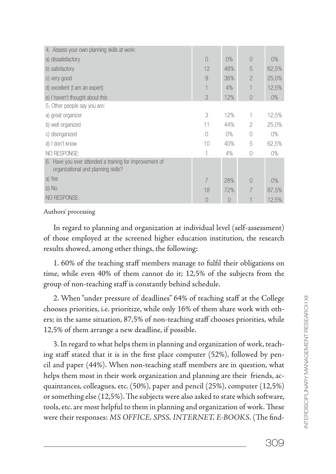| 4. Assess your own planning skills at work:                                                    |                |          |                |       |
|------------------------------------------------------------------------------------------------|----------------|----------|----------------|-------|
| a) dissatisfactory                                                                             | $\overline{0}$ | 0%       | $\overline{0}$ | $0\%$ |
| b) satisfactory                                                                                | 12             | 48%      | 5              | 62,5% |
| c) very good                                                                                   | 9              | 36%      | $\overline{2}$ | 25,0% |
| d) excellent (I am an expert)                                                                  | 1              | 4%       |                | 12,5% |
| e) I haven't thought about this                                                                | 3              | 12%      | $\overline{0}$ | $0\%$ |
| 5. Other people say you are:                                                                   |                |          |                |       |
| a) great organizer                                                                             | 3              | 12%      |                | 12,5% |
| b) well organized                                                                              | 11             | 44%      | $\overline{c}$ | 25,0% |
| c) disorganized                                                                                | 0              | $0\%$    | 0              | $0\%$ |
| d) I don't know                                                                                | 10             | 40%      | 5              | 62,5% |
| NO RESPONSE:                                                                                   | 1              | 4%       | 0              | $0\%$ |
| 6. Have you ever attended a training for improvement of<br>organizational and planning skills? |                |          |                |       |
| a) Yes                                                                                         | 7              | 28%      | $\overline{0}$ | $0\%$ |
| b) No                                                                                          | 18             | 72%      | 7              | 87,5% |
| NO RESPONSE:                                                                                   | $\bigcap$      | $\Omega$ |                | 12,5% |
|                                                                                                |                |          |                |       |

### Authors' processing

In regard to planning and organization at individual level (self-assessment) of those employed at the screened higher education institution, the research results showed, among other things, the following:

1. 60% of the teaching staff members manage to fulfil their obligations on time, while even 40% of them cannot do it; 12,5% of the subjects from the group of non-teaching staff is constantly behind schedule.

2. When "under pressure of deadlines" 64% of teaching staff at the College chooses priorities, i.e. prioritize, while only 16% of them share work with others; in the same situation, 87,5% of non-teaching staff chooses priorities, while 12,5% of them arrange a new deadline, if possible.

3. In regard to what helps them in planning and organization of work, teaching staff stated that it is in the first place computer  $(52%)$ , followed by pencil and paper (44%). When non-teaching staff members are in question, what helps them most in their work organization and planning are their friends, acquaintances, colleagues, etc. (50%), paper and pencil (25%), computer (12,5%) or something else  $(12,5\%)$ . The subjects were also asked to state which software, tools, etc. are most helpful to them in planning and organization of work. These were their responses: MS OFFICE, SPSS, INTERNET, E-BOOKS. (The find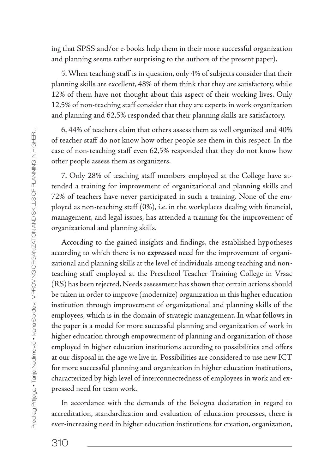ing that SPSS and/or e-books help them in their more successful organization and planning seems rather surprising to the authors of the present paper).

5. When teaching staff is in question, only 4% of subjects consider that their planning skills are excellent, 48% of them think that they are satisfactory, while 12% of them have not thought about this aspect of their working lives. Only 12,5% of non-teaching staff consider that they are experts in work organization and planning and 62,5% responded that their planning skills are satisfactory.

6. 44% of teachers claim that others assess them as well organized and 40% of teacher staff do not know how other people see them in this respect. In the case of non-teaching staff even 62,5% responded that they do not know how other people assess them as organizers.

7. Only 28% of teaching staff members employed at the College have attended a training for improvement of organizational and planning skills and 72% of teachers have never participated in such a training. None of the employed as non-teaching staff (0%), i.e. in the workplaces dealing with financial, management, and legal issues, has attended a training for the improvement of organizational and planning skills.

According to the gained insights and findings, the established hypotheses according to which there is no **expressed** need for the improvement of organizational and planning skills at the level of individuals among teaching and nonteaching staff employed at the Preschool Teacher Training College in Vrsac (RS) has been rejected. Needs assessment has shown that certain actions should be taken in order to improve (modernize) organization in this higher education institution through improvement of organizational and planning skills of the employees, which is in the domain of strategic management. In what follows in the paper is a model for more successful planning and organization of work in higher education through empowerment of planning and organization of those employed in higher education institutions according to possibilities and offers at our disposal in the age we live in. Possibilities are considered to use new ICT for more successful planning and organization in higher education institutions, characterized by high level of interconnectedness of employees in work and expressed need for team work.

In accordance with the demands of the Bologna declaration in regard to accreditation, standardization and evaluation of education processes, there is ever-increasing need in higher education institutions for creation, organization,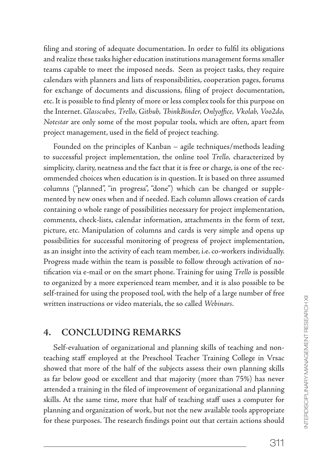filing and storing of adequate documentation. In order to fulfil its obligations and realize these tasks higher education institutions management forms smaller teams capable to meet the imposed needs. Seen as project tasks, they require calendars with planners and lists of responsibilities, cooperation pages, forums for exchange of documents and discussions, filing of project documentation, etc. It is possible to find plenty of more or less complex tools for this purpose on the Internet. Glasscubes, Trello, Github, ThinkBinder, Onlyoffice, Vkolab, Voo2do, Notestar are only some of the most popular tools, which are often, apart from project management, used in the field of project teaching.

Founded on the principles of Kanban – agile techniques/methods leading to successful project implementation, the online tool Trello, characterized by simplicity, clarity, neatness and the fact that it is free or charge, is one of the recommended choices when education is in question. It is based on three assumed columns ("planned", "in progress", "done") which can be changed or supplemented by new ones when and if needed. Each column allows creation of cards containing o whole range of possibilities necessary for project implementation, comments, check-lists, calendar information, attachments in the form of text, picture, etc. Manipulation of columns and cards is very simple and opens up possibilities for successful monitoring of progress of project implementation, as an insight into the activity of each team member, i.e. co-workers individually. Progress made within the team is possible to follow through activation of notification via e-mail or on the smart phone. Training for using Trello is possible to organized by a more experienced team member, and it is also possible to be self-trained for using the proposed tool, with the help of a large number of free written instructions or video materials, the so called Webinars.

## **4. CONCLUDING REMARKS**

Self-evaluation of organizational and planning skills of teaching and nonteaching staff employed at the Preschool Teacher Training College in Vrsac showed that more of the half of the subjects assess their own planning skills as far below good or excellent and that majority (more than 75%) has never attended a training in the filed of improvement of organizational and planning skills. At the same time, more that half of teaching staff uses a computer for planning and organization of work, but not the new available tools appropriate for these purposes. The research findings point out that certain actions should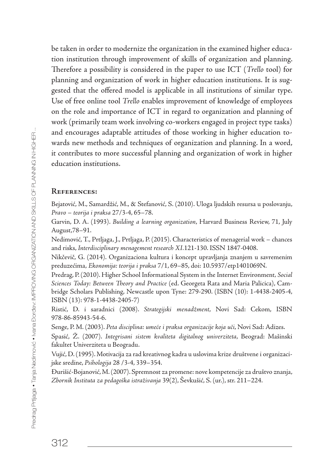be taken in order to modernize the organization in the examined higher education institution through improvement of skills of organization and planning. Therefore a possibility is considered in the paper to use ICT (Trello tool) for planning and organization of work in higher education institutions. It is suggested that the offered model is applicable in all institutions of similar type. Use of free online tool Trello enables improvement of knowledge of employees on the role and importance of ICT in regard to organization and planning of work (primarily team work involving co-workers engaged in project type tasks) and encourages adaptable attitudes of those working in higher education towards new methods and techniques of organization and planning. In a word, it contributes to more successful planning and organization of work in higher education institutions.

#### **REFERENCES:**

Bejatović, M., Samardžić, M., & Stefanović, S. (2010). Uloga ljudskih resursa u poslovanju, Pravo – teorija i praksa 27/3-4, 65–78.

Garvin, D. A. (1993). Building a learning organization, Harvard Business Review, 71, July August,78–91.

Nedimović, T., Prtljaga, J., Prtljaga, P. (2015). Characteristics of menagerial work – chances and risks, Interdisciplinary menagement research XI.121-130. ISSN 1847-0408.

Nikčevič, G. (2014). Organizaciona kultura i koncept upravljanja znanjem u savremenim preduzećima, Ekonomija: teorija i praksa 7/1, 69–85, doi: 10.5937/etp1401069N.

Predrag, P. (2010). Higher School Informational System in the Internet Environment, Social Sciences Today: Between Theory and Practice (ed. Georgeta Rata and Maria Palicica), Cambridge Scholars Publishing, Newcastle upon Tyne: 279-290. (ISBN (10): 1-4438-2405-4, ISBN (13): 978-1-4438-2405-7)

Ristić, D. i saradnici (2008). Strategijski menadžment, Novi Sad: Cekom, ISBN 978-86-85943-54-6.

Senge, P. M. (2003). Peta disciplina: umeće i praksa organizacije koja uči, Novi Sad: Adizes.

Spasić, Ž. (2007). Integrisani sistem kvaliteta digitalnog univerziteta, Beograd: Mašinski fakultet Univerziteta u Beogradu.

Vujić, D. (1995). Motivacija za rad kreativnog kadra u uslovima krize društvene i organizacijske sredine, Psihologija 28 /3-4, 339–354.

Đurišić-Bojanović, M. (2007). Spremnost za promene: nove kompetencije za društvo znanja, Zbornik Instituta za pedagoška istraživanja 39(2), Ševkušić, S. (ur.), str. 211–224.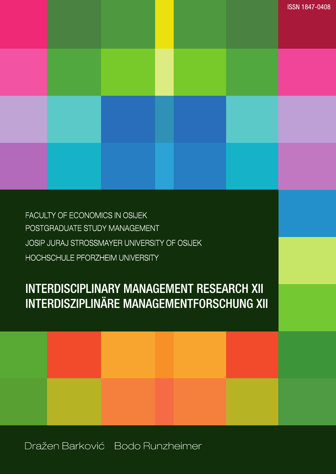## Dražen Barković Bodo Runzheimer



# **INTERDISCIPLINARY MANAGEMENT RESEARCH XII INTERDISZIPLINÄRE MANAGEMENTFORSCHUNG XII**

FACULTY OF ECONOMICS IN OSIJEK POSTGRADUATE STUDY MANAGEMENT JOSIP JURAJ STROSSMAYER UNIVERSITY OF OSIJEK HOCHSCHULE PFORZHEIM UNIVERSITY

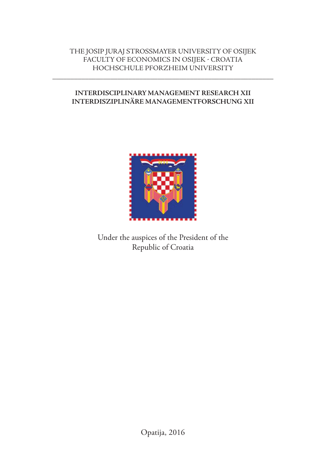## THE JOSIP JURAJ STROSSMAYER UNIVERSITY OF OSIJEK FACULTY OF ECONOMICS IN OSIJEK - CROATIA HOCHSCHULE PFORZHEIM UNIVERSITY

**\_\_\_\_\_\_\_\_\_\_\_\_\_\_\_\_\_\_\_\_\_\_\_\_\_\_\_\_\_\_\_\_\_\_\_\_\_\_\_\_\_\_\_\_\_\_\_\_\_\_\_\_\_\_\_\_\_\_\_\_\_**

## **INTERDISCIPLINARY MANAGEMENT RESEARCH XII INTERDISZIPLINÄRE MANAGEMENTFORSCHUNG XII**



Under the auspices of the President of the Republic of Croatia

Opatija, 2016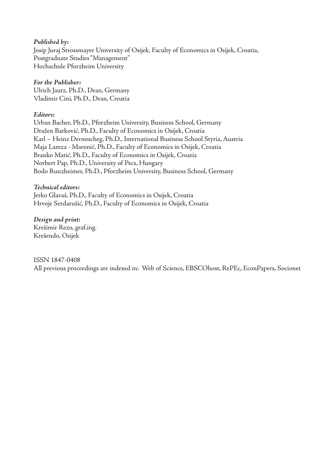### **Published by:**

Josip Juraj Strossmayer University of Osijek, Faculty of Economics in Osijek, Croatia, Postgraduate Studies "Management" Hochschule Pforzheim University

### **For the Publisher:**

Ulrich Jautz, Ph.D., Dean, Germany Vladimir Cini, Ph.D., Dean, Croatia

### **Editors:**

Urban Bacher, Ph.D., Pforzheim University, Business School, Germany Dražen Barković, Ph.D., Faculty of Economics in Osijek, Croatia Karl – Heinz Dernoscheg, Ph.D., International Business School Styria, Austria Maja Lamza - Maronić, Ph.D., Faculty of Economics in Osijek, Croatia Branko Matić, Ph.D., Faculty of Economics in Osijek, Croatia Norbert Pap, Ph.D., University of Pecs, Hungary Bodo Runzheimer, Ph.D., Pforzheim University, Business School, Germany

### **Technical editors:**

Jerko Glavaš, Ph.D., Faculty of Economics in Osijek, Croatia Hrvoje Serdarušić, Ph.D., Faculty of Economics in Osijek, Croatia

**Design and print:** Krešimir Rezo, graf.ing. Krešendo, Osijek

### ISSN 1847-0408

All previous proceedings are indexed in: Web of Science, EBSCOhost, RePEc, EconPapers, Socionet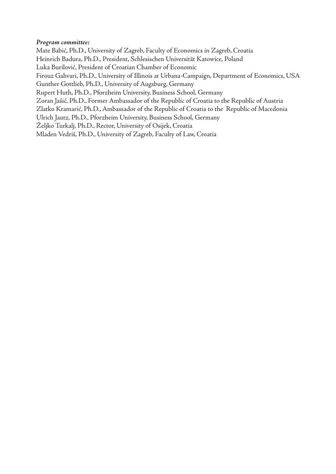### **Program committee:**

Mate Babić, Ph.D., University of Zagreb, Faculty of Economics in Zagreb, Croatia Heinrich Badura, Ph.D., President, Schlesischen Universität Katowice, Poland Luka Burilović, President of Croatian Chamber of Economic Firouz Gahvari, Ph.D., University of Illinois at Urbana-Campaign, Department of Economics, USA Gunther Gottlieb, Ph.D., University of Augsburg, Germany Rupert Huth, Ph.D., Pforzheim University, Business School, Germany Zoran Jašić, Ph.D., Former Ambassador of the Republic of Croatia to the Republic of Austria Zlatko Kramarić, Ph.D., Ambassador of the Republic of Croatia to the Republic of Macedonia Ulrich Jautz, Ph.D., Pforzheim University, Business School, Germany Željko Turkalj, Ph.D., Rector, University of Osijek, Croatia Mladen Vedriš, Ph.D., University of Zagreb, Faculty of Law, Croatia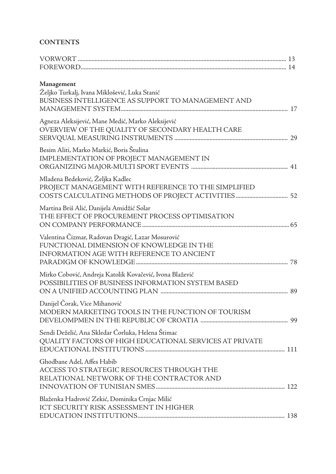## **CONTENTS**

| Management<br>Željko Turkalj, Ivana Miklošević, Luka Stanić<br>BUSINESS INTELLIGENCE AS SUPPORT TO MANAGEMENT AND                          |  |
|--------------------------------------------------------------------------------------------------------------------------------------------|--|
| Agneza Aleksijević, Mane Medić, Marko Aleksijević<br>OVERVIEW OF THE QUALITY OF SECONDARY HEALTH CARE                                      |  |
| Besim Aliti, Marko Markić, Boris Štulina<br>IMPLEMENTATION OF PROJECT MANAGEMENT IN                                                        |  |
| Mladena Bedeković, Željka Kadlec<br>PROJECT MANAGEMENT WITH REFERENCE TO THE SIMPLIFIED                                                    |  |
| Martina Briš Alić, Danijela Amidžić Solar<br>THE EFFECT OF PROCUREMENT PROCESS OPTIMISATION                                                |  |
| Valentina Čizmar, Radovan Dragić, Lazar Mosurović<br>FUNCTIONAL DIMENSION OF KNOWLEDGE IN THE<br>INFORMATION AGE WITH REFERENCE TO ANCIENT |  |
| Mirko Cobović, Andreja Katolik Kovačević, Ivona Blažević<br>POSSIBILITIES OF BUSINESS INFORMATION SYSTEM BASED                             |  |
| Danijel Čorak, Vice Mihanović<br>MODERN MARKETING TOOLS IN THE FUNCTION OF TOURISM                                                         |  |
| Sendi Deželić, Ana Skledar Ćorluka, Helena Štimac<br>QUALITY FACTORS OF HIGH EDUCATIONAL SERVICES AT PRIVATE                               |  |
| Ghodbane Adel, Affes Habib<br>ACCESS TO STRATEGIC RESOURCES THROUGH THE<br>RELATIONAL NETWORK OF THE CONTRACTOR AND                        |  |
| Blaženka Hadrović Zekić, Dominika Crnjac Milić<br>ICT SECURITY RISK ASSESSMENT IN HIGHER                                                   |  |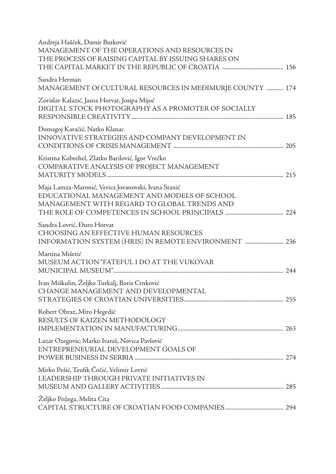| Andreja Hašček, Damir Butković<br>MANAGEMENT OF THE OPERATIONS AND RESOURCES IN<br>THE PROCESS OF RAISING CAPITAL BY ISSUING SHARES ON            |
|---------------------------------------------------------------------------------------------------------------------------------------------------|
| Sandra Herman<br>MANAGEMENT Of CULTURAL RESOURCES IN MEĐIMURJE COUNTY  174                                                                        |
| Zorislav Kalazić, Jasna Horvat, Josipa Mijoč<br>DIGITAL STOCK PHOTOGRAPHY AS A PROMOTER OF SOCIALLY                                               |
| Domagoj Karačić, Natko Klanac<br>INNOVATIVE STRATEGIES AND COMPANY DEVELOPMENT IN                                                                 |
| Kristina Kobrehel, Zlatko Barilović, Igor Vrečko<br>COMPARATIVE ANALYSIS OF PROJECT MANAGEMENT                                                    |
| Maja Lamza-Maronić, Verica Jovanovski, Ivana Stanić<br>EDUCATIONAL MANAGEMENT AND MODELS OF SCHOOL<br>MANAGEMENT WITH REGARD TO GLOBAL TRENDS AND |
| Sandra Lovrić, Đuro Horvat<br>CHOOSING AN EFFECTIVE HUMAN RESOURCES                                                                               |
| Martina Mišetić<br>MUSEUM ACTION "FATEFUL I DO AT THE VUKOVAR                                                                                     |
| Ivan Miškulin, Željko Turkalj, Boris Crnković<br>CHANGE MANAGEMENT AND DEVELOPMENTAL                                                              |
| Robert Obraz, Miro Hegedić<br>RESULTS OF KAIZEN METHODOLOGY                                                                                       |
| Lazar Ozegovic, Marko Ivaniš, Novica Pavlović<br>ENTREPRENEURIAL DEVELOPMENT GOALS OF                                                             |
| Mirko Pešić, Teufik Čočić, Velimir Lovrić<br>LEADERSHIP THROUGH PRIVATE INITIATIVES IN                                                            |
| Željko Požega, Melita Cita                                                                                                                        |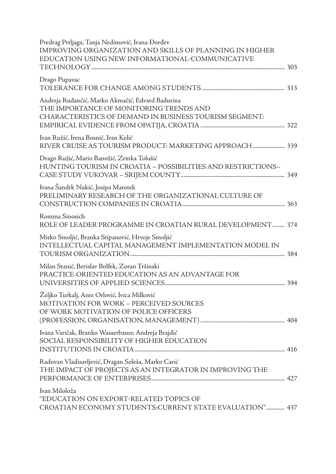| Predrag Prtljaga, Tanja Nedimović, Ivana Đorđev<br>IMPROVING ORGANIZATION AND SKILLS OF PLANNING IN HIGHER<br>EDUCATION USING NEW INFORMATIONAL-COMMUNICATIVE |
|---------------------------------------------------------------------------------------------------------------------------------------------------------------|
| Drago Pupavac                                                                                                                                                 |
| Andreja Rudančić, Marko Akmačić, Edvard Badurina<br>THE IMPORTANCE OF MONITORING TRENDS AND<br>CHARACTERISTICS OF DEMAND IN BUSINESS TOURISM SEGMENT:         |
| Ivan Ružić, Irena Bosnić, Ivan Kelić<br>RIVER CRUISE AS TOURISM PRODUCT: MARKETING APPROACH 339                                                               |
| Drago Ružić, Mario Banožić, Zrinka Tolušić<br>HUNTING TOURISM IN CROATIA - POSSIBILITIES AND RESTRICTIONS-                                                    |
| Ivana Šandrk Nukić, Josipa Matotek<br>PRELIMINARY RESEARCH OF THE ORGANIZATIONAL CULTURE OF                                                                   |
| Romina Sinosich<br>ROLE OF LEADER PROGRAMME IN CROATIAN RURAL DEVELOPMENT 374                                                                                 |
| Mirko Smoljić, Branka Stipanović, Hrvoje Smoljić<br>INTELLECTUAL CAPITAL MANAGEMENT IMPLEMENTATION MODEL IN                                                   |
| Milan Stanić, Berislav Bolfek, Zoran Tršinski<br>PRACTICE-ORIENTED EDUCATION AS AN ADVANTAGE FOR                                                              |
| Željko Turkalj, Ante Orlović, Ivica Milković<br><b>MOTIVATION FOR WORK - PERCEIVED SOURCES</b><br>OF WORK MOTIVATION OF POLICE OFFICERS                       |
| Ivana Varičak, Branko Wasserbauer, Andreja Brajdić<br>SOCIAL RESPONSIBILITY OF HIGHER EDUCATION                                                               |
| Radovan Vladisavljević, Dragan Soleša, Marko Carić<br>THE IMPACT OF PROJECTS AS AN INTEGRATOR IN IMPROVING THE                                                |
| Ivan Miloloža<br>"EDUCATION ON EXPORT-RELATED TOPICS OF<br>CROATIAN ECONOMY STUDENTS:CURRENT STATE EVALUATION" 437                                            |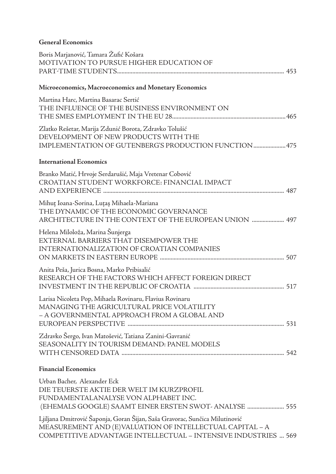### **General Economics**

| Boris Marjanović, Tamara Žufić Košara<br>MOTIVATION TO PURSUE HIGHER EDUCATION OF                                                                                                                         |
|-----------------------------------------------------------------------------------------------------------------------------------------------------------------------------------------------------------|
| Microeconomics, Macroeconomics and Monetary Economics                                                                                                                                                     |
| Martina Harc, Martina Basarac Sertić<br>THE INFLUENCE OF THE BUSINESS ENVIRONMENT ON                                                                                                                      |
| Zlatko Rešetar, Marija Zdunić Borota, Zdravko Tolušić<br>DEVELOPMENT OF NEW PRODUCTS WITH THE<br>IMPLEMENTATION OF GUTENBERG'S PRODUCTION FUNCTION  475                                                   |
| <b>International Economics</b>                                                                                                                                                                            |
| Branko Matić, Hrvoje Serdarušić, Maja Vretenar Cobović<br>CROATIAN STUDENT WORKFORCE: FINANCIAL IMPACT                                                                                                    |
| Mihuț Ioana-Sorina, Luțaș Mihaela-Mariana<br>THE DYNAMIC OF THE ECONOMIC GOVERNANCE<br>ARCHITECTURE IN THE CONTEXT OF THE EUROPEAN UNION  497                                                             |
| Helena Miloloža, Marina Šunjerga<br>EXTERNAL BARRIERS THAT DISEMPOWER THE<br><b>INTERNATIONALIZATION OF CROATIAN COMPANIES</b>                                                                            |
| Anita Peša, Jurica Bosna, Marko Pribisalić<br>RESEARCH OF THE FACTORS WHICH AFFECT FOREIGN DIRECT                                                                                                         |
| Larisa Nicoleta Pop, Mihaela Rovinaru, Flavius Rovinaru<br>MANAGING THE AGRICULTURAL PRICE VOLATILITY<br>- A GOVERNMENTAL APPROACH FROM A GLOBAL AND                                                      |
| Zdravko Šergo, Ivan Matošević, Tatiana Zanini-Gavranić<br>SEASONALITY IN TOURISM DEMAND: PANEL MODELS                                                                                                     |
| <b>Financial Economics</b>                                                                                                                                                                                |
| Urban Bacher, Alexander Eck<br>DIE TEUERSTE AKTIE DER WELT IM KURZPROFIL<br>FUNDAMENTALANALYSE VON ALPHABET INC.<br>(EHEMALS GOOGLE) SAAMT EINER ERSTEN SWOT-ANALYSE  555                                 |
| Ljiljana Dmitrović Šaponja, Goran Šijan, Saša Gravorac, Sunčica Milutinović<br>MEASUREMENT AND (E)VALUATION OF INTELLECTUAL CAPITAL - A<br>COMPETITIVE ADVANTAGE INTELLECTUAL - INTENSIVE INDUSTRIES  569 |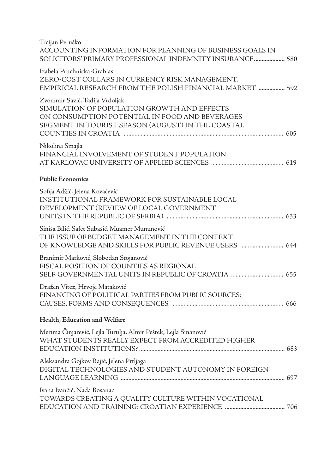| Ticijan Peruško<br>ACCOUNTING INFORMATION FOR PLANNING OF BUSINESS GOALS IN<br>SOLICITORS' PRIMARY PROFESSIONAL INDEMNITY INSURANCE 580                                               |
|---------------------------------------------------------------------------------------------------------------------------------------------------------------------------------------|
| Izabela Pruchnicka-Grabias<br>ZERO-COST COLLARS IN CURRENCY RISK MANAGEMENT.<br>EMPIRICAL RESEARCH FROM THE POLISH FINANCIAL MARKET  592                                              |
| Zvonimir Savić, Tadija Vrdoljak<br>SIMULATION OF POPULATION GROWTH AND EFFECTS<br>ON CONSUMPTION POTENTIAL IN FOOD AND BEVERAGES<br>SEGMENT IN TOURIST SEASON (AUGUST) IN THE COASTAL |
| Nikolina Smajla<br>FINANCIAL INVOLVEMENT OF STUDENT POPULATION                                                                                                                        |
| <b>Public Economics</b>                                                                                                                                                               |
| Sofija Adžić, Jelena Kovačević<br>INSTITUTIONAL FRAMEWORK FOR SUSTAINABLE LOCAL<br>DEVELOPMENT (REVIEW OF LOCAL GOVERNMENT                                                            |
| Siniša Bilić, Safet Subašić, Muamer Muminović<br>THE ISSUE OF BUDGET MANAGEMENT IN THE CONTEXT<br>OF KNOWLEDGE AND SKILLS FOR PUBLIC REVENUE USERS  644                               |
| Branimir Marković, Slobodan Stojanović<br>FISCAL POSITION OF COUNTIES AS REGIONAL                                                                                                     |
| Dražen Vitez, Hrvoje Mataković<br>FINANCING OF POLITICAL PARTIES FROM PUBLIC SOURCES:                                                                                                 |
| Health, Education and Welfare                                                                                                                                                         |
| Merima Činjarević, Lejla Turulja, Almir Peštek, Lejla Sinanović<br>WHAT STUDENTS REALLY EXPECT FROM ACCREDITED HIGHER<br>EDUCATION INSTITUTIONS?<br>683                               |
| Aleksandra Gojkov Rajić, Jelena Prtljaga<br>DIGITAL TECHNOLOGIES AND STUDENT AUTONOMY IN FOREIGN                                                                                      |
| Ivana Ivančić, Nada Bosanac<br>TOWARDS CREATING A QUALITY CULTURE WITHIN VOCATIONAL                                                                                                   |
|                                                                                                                                                                                       |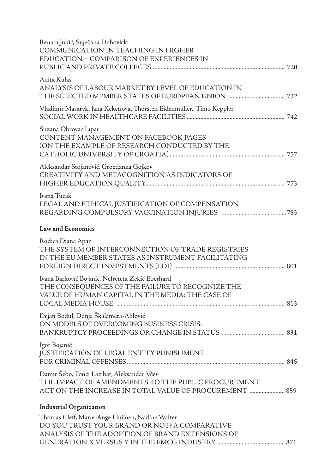| Renata Jukić, Snježana Dubovicki<br>COMMUNICATION IN TEACHING IN HIGHER<br>EDUCATION - COMPARISON OF EXPERIENCES IN                                        |
|------------------------------------------------------------------------------------------------------------------------------------------------------------|
| Anita Kulaš<br>ANALYSIS OF LABOUR MARKET BY LEVEL OF EDUCATION IN                                                                                          |
| Vladimír Masaryk, Jana Keketiova, Thorsten Eidenmüller, Timo Keppler                                                                                       |
| Suzana Obrovac Lipar<br>CONTENT MANAGEMENT ON FACEBOOK PAGES<br>(ON THE EXAMPLE OF RESEARCH CONDUCTED BY THE                                               |
| Aleksandar Stojanović, Grozdanka Gojkov<br>CREATIVITY AND METACOGNITION AS INDICATORS OF                                                                   |
| Ivana Tucak<br>LEGAL AND ETHICAL JUSTIFICATION OF COMPENSATION                                                                                             |
| <b>Law and Economics</b>                                                                                                                                   |
| Rodica Diana Apan<br>THE SYSTEM OF INTERCONNECTION OF TRADE REGISTRIES<br>IN THE EU MEMBER STATES AS INSTRUMENT FACILITATING                               |
| Ivana Barković Bojanić, Nefreteta Zekić Eberhard<br>THE CONSEQUENCES OF THE FAILURE TO RECOGNIZE THE<br>VALUE OF HUMAN CAPITAL IN THE MEDIA: THE CASE OF   |
| Dejan Bodul, Dunja Škalamera-Alilović<br>ON MODELS OF OVERCOMING BUSINESS CRISIS:                                                                          |
| Igor Bojanić<br>JUSTIFICATION OF LEGAL ENTITY PUNISHMENT                                                                                                   |
| Damir Šebo, Tonći Lazibat, Aleksandar Včev<br>THE IMPACT OF AMENDMENTS TO THE PUBLIC PROCUREMENT<br>ACT ON THE INCREASE IN TOTAL VALUE OF PROCUREMENT  859 |
| <b>Industrial Organization</b>                                                                                                                             |
| Thomas Cleff, Marie-Ange Huijnen, Nadine Walter<br>DO YOU TRUST YOUR BRAND OR NOT? A COMPARATIVE<br>ANALYSIS OF THE ADOPTION OF BRAND EXTENSIONS OF        |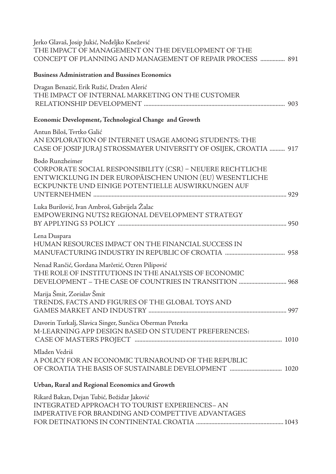| Jerko Glavaš, Josip Jukić, Neđeljko Knežević       |  |
|----------------------------------------------------|--|
| THE IMPACT OF MANAGEMENT ON THE DEVELOPMENT OF THE |  |
|                                                    |  |

### **Business Administration and Bussines Economics**

| Dragan Benazić, Erik Ružić, Dražen Alerić<br>THE IMPACT OF INTERNAL MARKETING ON THE CUSTOMER                                                                                               |
|---------------------------------------------------------------------------------------------------------------------------------------------------------------------------------------------|
| Economic Development, Technological Change and Growth                                                                                                                                       |
| Antun Biloš, Tvrtko Galić<br>AN EXPLORATION OF INTERNET USAGE AMONG STUDENTS: THE<br>CASE OF JOSIP JURAJ STROSSMAYER UNIVERSITY OF OSIJEK, CROATIA  917                                     |
| Bodo Runzheimer<br>CORPORATE SOCIAL RESPONSIBILITY (CSR) - NEUERE RECHTLICHE<br>ENTWICKLUNG IN DER EUROPÄISCHEN UNION (EU) WESENTLICHE<br>ECKPUNKTE UND EINIGE POTENTIELLE AUSWIRKUNGEN AUF |
| Luka Burilović, Ivan Ambroš, Gabrijela Žalac<br>EMPOWERING NUTS2 REGIONAL DEVELOPMENT STRATEGY                                                                                              |
| Lena Duspara<br>HUMAN RESOURCES IMPACT ON THE FINANCIAL SUCCESS IN                                                                                                                          |
| Nenad Rančić, Gordana Marčetić, Ozren Pilipović<br>THE ROLE OF INSTITUTIONS IN THE ANALYSIS OF ECONOMIC                                                                                     |
| Marija Šmit, Zorislav Šmit<br>TRENDS, FACTS AND FIGURES OF THE GLOBAL TOYS AND                                                                                                              |
| Davorin Turkalj, Slavica Singer, Sunčica Oberman Peterka<br>M-LEARNING APP DESIGN BASED ON STUDENT PREFERENCES:                                                                             |
| Mladen Vedriš<br>A POLICY FOR AN ECONOMIC TURNAROUND OF THE REPUBLIC                                                                                                                        |
| Urban, Rural and Regional Economics and Growth                                                                                                                                              |
| Rikard Bakan, Dejan Tubić, Božidar Jaković<br>INTEGRATED APPROACH TO TOURIST EXPERIENCES-AN<br>IMPERATIVE FOR BRANDING AND COMPETTIVE ADVANTAGES                                            |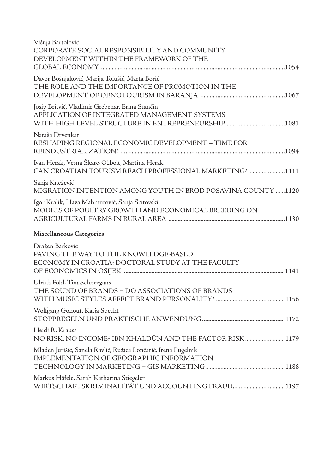| Višnja Bartolović<br>CORPORATE SOCIAL RESPONSIBILITY AND COMMUNITY<br>DEVELOPMENT WITHIN THE FRAMEWORK OF THE |
|---------------------------------------------------------------------------------------------------------------|
| Davor Bošnjaković, Marija Tolušić, Marta Borić<br>THE ROLE AND THE IMPORTANCE OF PROMOTION IN THE             |
| Josip Britvić, Vladimir Grebenar, Erina Stančin<br>APPLICATION OF INTEGRATED MANAGEMENT SYSTEMS               |
| Nataša Drvenkar<br>RESHAPING REGIONAL ECONOMIC DEVELOPMENT – TIME FOR                                         |
| Ivan Herak, Vesna Škare-Ožbolt, Martina Herak<br>CAN CROATIAN TOURISM REACH PROFESSIONAL MARKETING? 1111      |
| Sanja Knežević<br>MIGRATION INTENTION AMONG YOUTH IN BROD POSAVINA COUNTY 1120                                |
| Igor Kralik, Hava Mahmutović, Sanja Scitovski<br>MODELS OF POULTRY GROWTH AND ECONOMICAL BREEDING ON          |
| Miscellaneous Categories                                                                                      |
| Dražen Barković<br>PAVING THE WAY TO THE KNOWLEDGE-BASED<br>ECONOMY IN CROATIA: DOCTORAL STUDY AT THE FACULTY |
| Ulrich Föhl, Tim Schneegans<br>THE SOUND OF BRANDS - DO ASSOCIATIONS OF BRANDS                                |
| Wolfgang Gohout, Katja Specht                                                                                 |
| Heidi R. Krauss<br>NO RISK, NO INCOME? IBN KHALDŪN AND THE FACTOR RISK  1179                                  |
| Mladen Jurišić, Sanela Ravlić, Ružica Lončarić, Irena Pugelnik<br>IMPLEMENTATION OF GEOGRAPHIC INFORMATION    |
| Markus Häfele, Sarah Katharina Stiegeler                                                                      |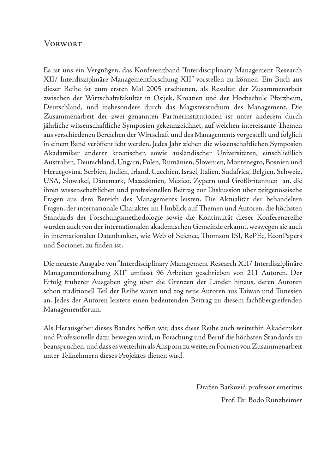## **VORWORT**

Es ist uns ein Vergnügen, das Konferenzband "Interdisciplinary Management Research XII/ Interdisziplinäre Managementforschung XII" vorstellen zu können. Ein Buch aus dieser Reihe ist zum ersten Mal 2005 erschienen, als Resultat der Zusammenarbeit zwischen der Wirtschaftsfakultät in Osijek, Kroatien und der Hochschule Pforzheim, Deutschland, und insbesondere durch das Magisterstudium des Management. Die Zusammenarbeit der zwei genannten Partnerinstitutionen ist unter anderem durch jährliche wissenschaftliche Symposien gekennzeichnet, auf welchen interessante Themen aus verschiedenen Bereichen der Wirtschaft und des Managements vorgestellt und folglich in einem Band veröffentlicht werden. Jedes Jahr ziehen die wissenschaftlichen Symposien Akadamiker anderer kroatischer, sowie ausländischer Universitäten, einschließlich Australien, Deutschland, Ungarn, Polen, Rumänien, Slovenien, Montenegro, Bosnien und Herzegovina, Serbien, Indien, Irland, Czechien, Israel, Italien, Sudafrica, Belgien, Schweiz, USA, Slowakei, Dänemark, Mazedonien, Mexico, Zypern und Großbritannien an, die ihren wissenschaftlichen und profesionellen Beitrag zur Diskussion über zeitgenössische Fragen aus dem Bereich des Managements leisten. Die Aktualität der behandelten Fragen, der internationale Charakter im Hinblick auf Themen und Autoren, die höchsten Standards der Forschungsmethodologie sowie die Kontinuität dieser Konferenzreihe wurden auch von der internationalen akademischen Gemeinde erkannt, weswegen sie auch in internationalen Datenbanken, wie Web of Science, Thomson ISI, RePEc, EconPapers und Socionet, zu finden ist.

Die neueste Ausgabe von "Interdisciplinary Management Research XII/ Interdisziplinäre Managementforschung XII" umfasst 96 Arbeiten geschrieben von 211 Autoren. Der Erfolg früherer Ausgaben ging über die Grenzen der Länder hinaus, deren Autoren schon traditionell Teil der Reihe waren und zog neue Autoren aus Taiwan und Tunesien an. Jedes der Autoren leistete einen bedeutenden Beitrag zu diesem fachübergreifenden Managementforum.

Als Herausgeber dieses Bandes hoffen wir, dass diese Reihe auch weiterhin Akademiker und Profesionelle dazu bewegen wird, in Forschung und Beruf die höchsten Standards zu beanspruchen, und dass es weiterhin als Ansporn zu weiteren Formen von Zusammenarbeit unter Teilnehmern dieses Projektes dienen wird.

> Dražen Barković, professor emeritus Prof. Dr. Bodo Runzheimer